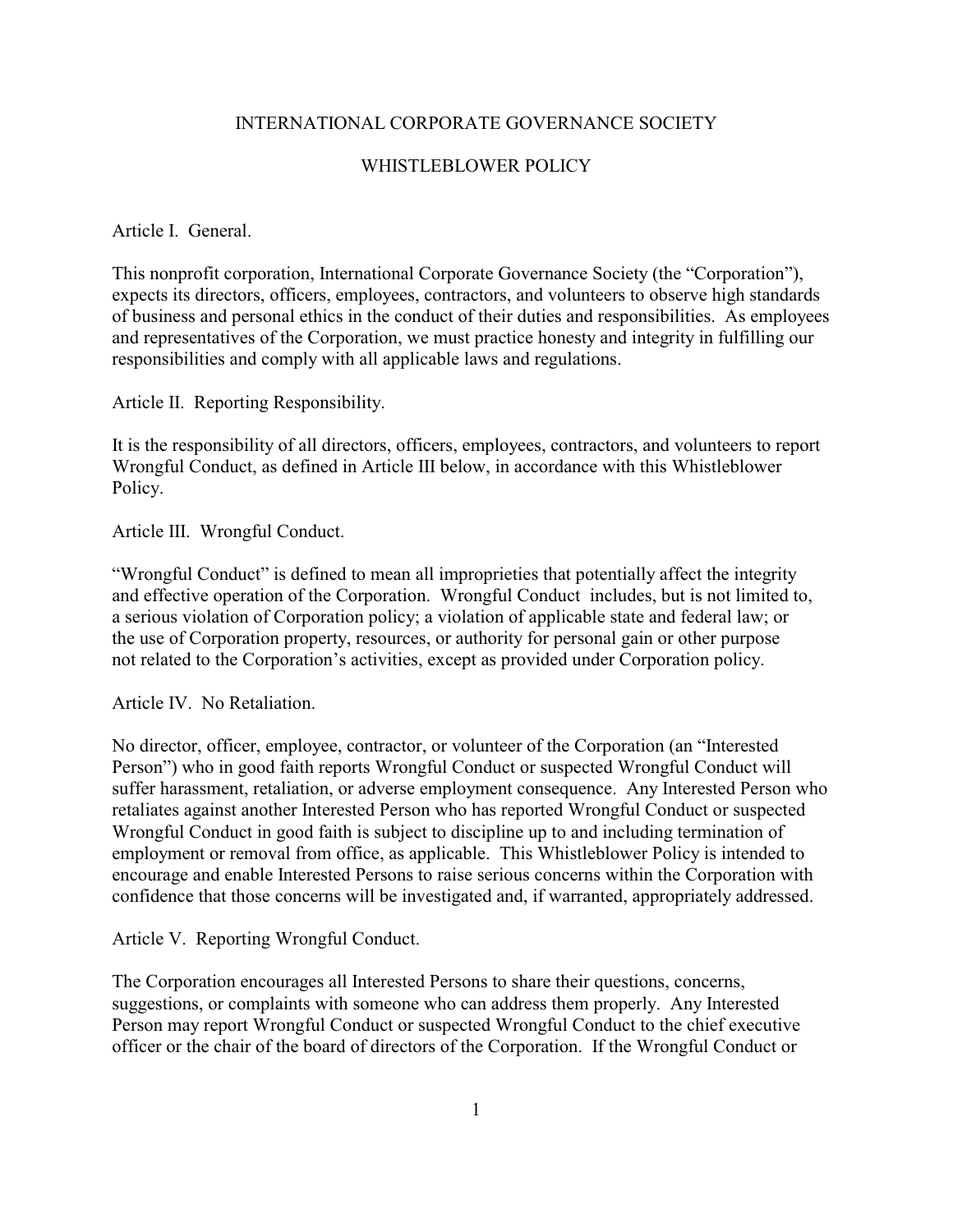## INTERNATIONAL CORPORATE GOVERNANCE SOCIETY

## WHISTLEBLOWER POLICY

## Article I. General.

This nonprofit corporation, International Corporate Governance Society (the "Corporation"), expects its directors, officers, employees, contractors, and volunteers to observe high standards of business and personal ethics in the conduct of their duties and responsibilities. As employees and representatives of the Corporation, we must practice honesty and integrity in fulfilling our responsibilities and comply with all applicable laws and regulations.

Article II. Reporting Responsibility.

It is the responsibility of all directors, officers, employees, contractors, and volunteers to report Wrongful Conduct, as defined in Article III below, in accordance with this Whistleblower Policy.

Article III. Wrongful Conduct.

"Wrongful Conduct" is defined to mean all improprieties that potentially affect the integrity and effective operation of the Corporation. Wrongful Conduct includes, but is not limited to, a serious violation of Corporation policy; a violation of applicable state and federal law; or the use of Corporation property, resources, or authority for personal gain or other purpose not related to the Corporation's activities, except as provided under Corporation policy.

Article IV. No Retaliation.

No director, officer, employee, contractor, or volunteer of the Corporation (an "Interested Person") who in good faith reports Wrongful Conduct or suspected Wrongful Conduct will suffer harassment, retaliation, or adverse employment consequence. Any Interested Person who retaliates against another Interested Person who has reported Wrongful Conduct or suspected Wrongful Conduct in good faith is subject to discipline up to and including termination of employment or removal from office, as applicable. This Whistleblower Policy is intended to encourage and enable Interested Persons to raise serious concerns within the Corporation with confidence that those concerns will be investigated and, if warranted, appropriately addressed.

Article V. Reporting Wrongful Conduct.

The Corporation encourages all Interested Persons to share their questions, concerns, suggestions, or complaints with someone who can address them properly. Any Interested Person may report Wrongful Conduct or suspected Wrongful Conduct to the chief executive officer or the chair of the board of directors of the Corporation. If the Wrongful Conduct or